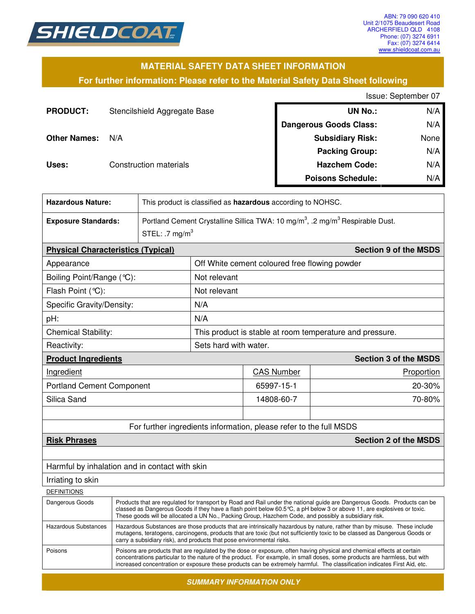

### **MATERIAL SAFETY DATA SHEET INFORMATION**

**For further information: Please refer to the Material Safety Data Sheet following**

Issue: September 07

| <b>PRODUCT:</b>     | Stencilshield Aggregate Base | <b>UN No.:</b>                | N/A  |
|---------------------|------------------------------|-------------------------------|------|
|                     |                              | <b>Dangerous Goods Class:</b> | N/A  |
| <b>Other Names:</b> | N/A                          | <b>Subsidiary Risk:</b>       | None |
|                     |                              | <b>Packing Group:</b>         | N/A  |
| Uses:               | Construction materials       | <b>Hazchem Code:</b>          | N/A  |
|                     |                              | <b>Poisons Schedule:</b>      | N/A  |

| <b>Hazardous Nature:</b>                                   | This product is classified as hazardous according to NOHSC.                                                                                                                                                                                                                                                                                                          |                              |                                                                    |                              |  |
|------------------------------------------------------------|----------------------------------------------------------------------------------------------------------------------------------------------------------------------------------------------------------------------------------------------------------------------------------------------------------------------------------------------------------------------|------------------------------|--------------------------------------------------------------------|------------------------------|--|
| <b>Exposure Standards:</b>                                 | Portland Cement Crystalline Sillica TWA: 10 mg/m <sup>3</sup> , .2 mg/m <sup>3</sup> Respirable Dust.                                                                                                                                                                                                                                                                |                              |                                                                    |                              |  |
|                                                            | STEL: .7 $mg/m3$                                                                                                                                                                                                                                                                                                                                                     |                              |                                                                    |                              |  |
| <b>Physical Characteristics (Typical)</b>                  |                                                                                                                                                                                                                                                                                                                                                                      | <b>Section 9 of the MSDS</b> |                                                                    |                              |  |
| Appearance                                                 |                                                                                                                                                                                                                                                                                                                                                                      |                              | Off White cement coloured free flowing powder                      |                              |  |
| Boiling Point/Range (°C):                                  |                                                                                                                                                                                                                                                                                                                                                                      | Not relevant                 |                                                                    |                              |  |
| Flash Point (°C):                                          |                                                                                                                                                                                                                                                                                                                                                                      | Not relevant                 |                                                                    |                              |  |
| Specific Gravity/Density:                                  |                                                                                                                                                                                                                                                                                                                                                                      | N/A                          |                                                                    |                              |  |
| pH:                                                        |                                                                                                                                                                                                                                                                                                                                                                      | N/A                          |                                                                    |                              |  |
| <b>Chemical Stability:</b>                                 |                                                                                                                                                                                                                                                                                                                                                                      |                              | This product is stable at room temperature and pressure.           |                              |  |
| Reactivity:                                                |                                                                                                                                                                                                                                                                                                                                                                      |                              | Sets hard with water.                                              |                              |  |
| <b>Product Ingredients</b><br><b>Section 3 of the MSDS</b> |                                                                                                                                                                                                                                                                                                                                                                      |                              |                                                                    |                              |  |
| Ingredient                                                 |                                                                                                                                                                                                                                                                                                                                                                      |                              | <b>CAS Number</b>                                                  | Proportion                   |  |
| <b>Portland Cement Component</b>                           |                                                                                                                                                                                                                                                                                                                                                                      | 65997-15-1                   | 20-30%                                                             |                              |  |
| Silica Sand                                                |                                                                                                                                                                                                                                                                                                                                                                      | 14808-60-7                   | 70-80%                                                             |                              |  |
|                                                            |                                                                                                                                                                                                                                                                                                                                                                      |                              |                                                                    |                              |  |
|                                                            |                                                                                                                                                                                                                                                                                                                                                                      |                              | For further ingredients information, please refer to the full MSDS |                              |  |
| <b>Risk Phrases</b>                                        |                                                                                                                                                                                                                                                                                                                                                                      |                              |                                                                    | <b>Section 2 of the MSDS</b> |  |
|                                                            |                                                                                                                                                                                                                                                                                                                                                                      |                              |                                                                    |                              |  |
| Harmful by inhalation and in contact with skin             |                                                                                                                                                                                                                                                                                                                                                                      |                              |                                                                    |                              |  |
| Irriating to skin                                          |                                                                                                                                                                                                                                                                                                                                                                      |                              |                                                                    |                              |  |
| <b>DEFINITIONS</b>                                         |                                                                                                                                                                                                                                                                                                                                                                      |                              |                                                                    |                              |  |
| Dangerous Goods                                            | Products that are regulated for transport by Road and Rail under the national guide are Dangerous Goods. Products can be<br>classed as Dangerous Goods if they have a flash point below 60.5 $\degree$ C, a pH below 3 or above 11, are explosives or toxic.<br>These goods will be allocated a UN No., Packing Group, Hazchem Code, and possibly a subsidiary risk. |                              |                                                                    |                              |  |
| <b>Hazardous Substances</b>                                | Hazardous Substances are those products that are intrinsically hazardous by nature, rather than by misuse. These include<br>mutagens, teratogens, carcinogens, products that are toxic (but not sufficiently toxic to be classed as Dangerous Goods or<br>carry a subsidiary risk), and products that pose environmental risks.                                      |                              |                                                                    |                              |  |
| Poisons                                                    | Poisons are products that are regulated by the dose or exposure, often having physical and chemical effects at certain                                                                                                                                                                                                                                               |                              |                                                                    |                              |  |

*SUMMARY INFORMATION ONLY* 

concentrations particular to the nature of the product. For example, in small doses, some products are harmless, but with increased concentration or exposure these products can be extremely harmful. The classification indicates First Aid, etc.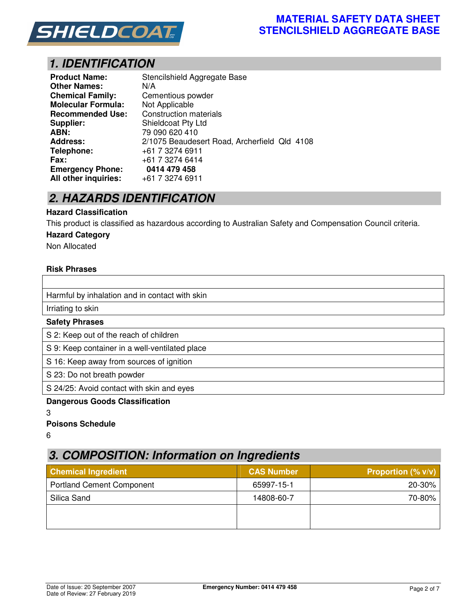

### **MATERIAL SAFETY DATA SHEET STENCILSHIELD AGGREGATE BASE**

# *1. IDENTIFICATION*

| <b>Product Name:</b>      | Stencilshield Aggregate Base                 |
|---------------------------|----------------------------------------------|
| <b>Other Names:</b>       | N/A                                          |
| <b>Chemical Family:</b>   | Cementious powder                            |
| <b>Molecular Formula:</b> | Not Applicable                               |
| <b>Recommended Use:</b>   | <b>Construction materials</b>                |
| Supplier:                 | <b>Shieldcoat Pty Ltd</b>                    |
| ABN:                      | 79 090 620 410                               |
| <b>Address:</b>           | 2/1075 Beaudesert Road, Archerfield Qld 4108 |
| Telephone:                | +61 7 3274 6911                              |
| <b>Fax:</b>               | +61 7 3274 6414                              |
| <b>Emergency Phone:</b>   | 0414 479 458                                 |
| All other inquiries:      | +61 7 3274 6911                              |

## *2. HAZARDS IDENTIFICATION*

#### **Hazard Classification**

This product is classified as hazardous according to Australian Safety and Compensation Council criteria.

#### **Hazard Category**

Non Allocated

#### **Risk Phrases**

| Harmful by inhalation and in contact with skin |
|------------------------------------------------|
| Irriating to skin                              |
| <b>Safety Phrases</b>                          |
| S 2: Keep out of the reach of children         |
| S 9: Keep container in a well-ventilated place |
| S 16: Keep away from sources of ignition       |
| S 23: Do not breath powder                     |

S 24/25: Avoid contact with skin and eyes

#### **Dangerous Goods Classification**

3

#### **Poisons Schedule**

6

## *3. COMPOSITION: Information on Ingredients*

| <b>Chemical Ingredient</b>       | <b>CAS Number</b> | <b>Proportion (% <math>v/v</math>)</b> |
|----------------------------------|-------------------|----------------------------------------|
| <b>Portland Cement Component</b> | 65997-15-1        | 20-30%                                 |
| Silica Sand                      | 14808-60-7        | 70-80%                                 |
|                                  |                   |                                        |
|                                  |                   |                                        |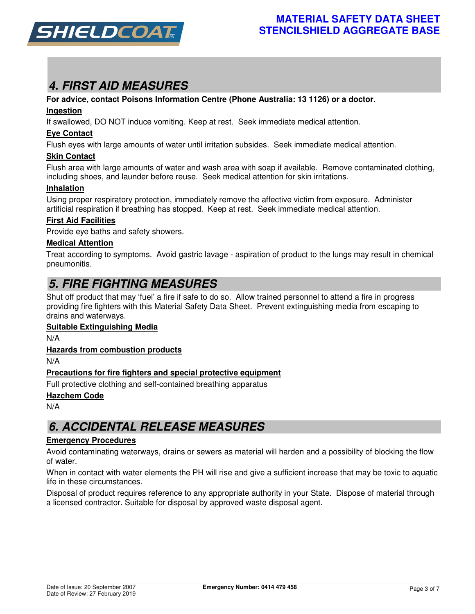

# *4. FIRST AID MEASURES*

#### **For advice, contact Poisons Information Centre (Phone Australia: 13 1126) or a doctor.**

#### **Ingestion**

If swallowed, DO NOT induce vomiting. Keep at rest. Seek immediate medical attention.

#### **Eye Contact**

Flush eyes with large amounts of water until irritation subsides. Seek immediate medical attention.

#### **Skin Contact**

Flush area with large amounts of water and wash area with soap if available. Remove contaminated clothing, including shoes, and launder before reuse. Seek medical attention for skin irritations.

#### **Inhalation**

Using proper respiratory protection, immediately remove the affective victim from exposure. Administer artificial respiration if breathing has stopped. Keep at rest. Seek immediate medical attention.

#### **First Aid Facilities**

Provide eye baths and safety showers.

#### **Medical Attention**

Treat according to symptoms. Avoid gastric lavage - aspiration of product to the lungs may result in chemical pneumonitis.

## *5. FIRE FIGHTING MEASURES*

Shut off product that may 'fuel' a fire if safe to do so. Allow trained personnel to attend a fire in progress providing fire fighters with this Material Safety Data Sheet. Prevent extinguishing media from escaping to drains and waterways.

#### **Suitable Extinguishing Media**

N/A

#### **Hazards from combustion products**

N/A

#### **Precautions for fire fighters and special protective equipment**

Full protective clothing and self-contained breathing apparatus

#### **Hazchem Code**

N/A

## *6. ACCIDENTAL RELEASE MEASURES*

#### **Emergency Procedures**

Avoid contaminating waterways, drains or sewers as material will harden and a possibility of blocking the flow of water.

When in contact with water elements the PH will rise and give a sufficient increase that may be toxic to aquatic life in these circumstances.

Disposal of product requires reference to any appropriate authority in your State. Dispose of material through a licensed contractor. Suitable for disposal by approved waste disposal agent.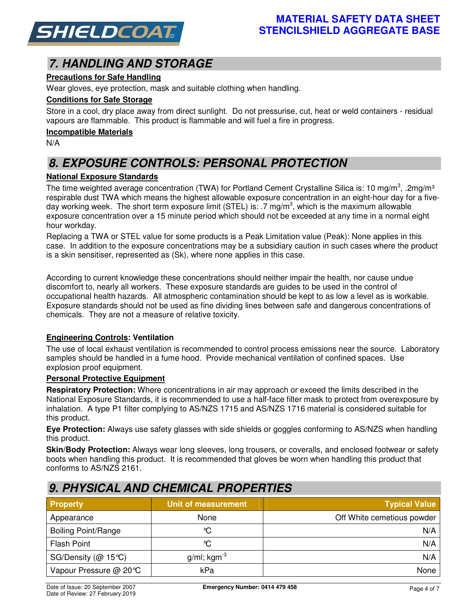

# *7. HANDLING AND STORAGE*

### **Precautions for Safe Handling**

Wear gloves, eye protection, mask and suitable clothing when handling.

### **Conditions for Safe Storage**

Store in a cool, dry place away from direct sunlight. Do not pressurise, cut, heat or weld containers - residual vapours are flammable. This product is flammable and will fuel a fire in progress.

#### **Incompatible Materials**

N/A

# *8. EXPOSURE CONTROLS: PERSONAL PROTECTION*

### **National Exposure Standards**

The time weighted average concentration (TWA) for Portland Cement Crystalline Silica is: 10 mg/m<sup>3</sup>, .2mg/m<sup>3</sup> respirable dust TWA which means the highest allowable exposure concentration in an eight-hour day for a fiveday working week. The short term exposure limit (STEL) is: .7 mg/m<sup>3</sup>, which is the maximum allowable exposure concentration over a 15 minute period which should not be exceeded at any time in a normal eight hour workday.

Replacing a TWA or STEL value for some products is a Peak Limitation value (Peak): None applies in this case. In addition to the exposure concentrations may be a subsidiary caution in such cases where the product is a skin sensitiser, represented as (Sk), where none applies in this case.

According to current knowledge these concentrations should neither impair the health, nor cause undue discomfort to, nearly all workers. These exposure standards are guides to be used in the control of occupational health hazards. All atmospheric contamination should be kept to as low a level as is workable. Exposure standards should not be used as fine dividing lines between safe and dangerous concentrations of chemicals. They are not a measure of relative toxicity.

#### **Engineering Controls: Ventilation**

The use of local exhaust ventilation is recommended to control process emissions near the source. Laboratory samples should be handled in a fume hood. Provide mechanical ventilation of confined spaces. Use explosion proof equipment.

#### **Personal Protective Equipment**

**Respiratory Protection:** Where concentrations in air may approach or exceed the limits described in the National Exposure Standards, it is recommended to use a half-face filter mask to protect from overexposure by inhalation. A type P1 filter complying to AS/NZS 1715 and AS/NZS 1716 material is considered suitable for this product.

**Eye Protection:** Always use safety glasses with side shields or goggles conforming to AS/NZS when handling this product.

**Skin/Body Protection:** Always wear long sleeves, long trousers, or coveralls, and enclosed footwear or safety boots when handling this product. It is recommended that gloves be worn when handling this product that conforms to AS/NZS 2161.

# **Property Community Community Community Community Community Community Community Community Community Community Community Community Community Community Community Community Community Community Community Community Community Co** Appearance **None** None None **Off White cemetious powder** Boiling Point/Range Ⅰ N/A Flash Point  $\begin{matrix} \bullet \end{matrix}$  , we can also the  $\begin{matrix} \bullet \end{matrix}$   $\begin{matrix} \bullet \end{matrix}$  . The  $\begin{matrix} \bullet \end{matrix}$  and  $\begin{matrix} \bullet \end{matrix}$  and  $\begin{matrix} \bullet \end{matrix}$  and  $\begin{matrix} \bullet \end{matrix}$  and  $\begin{matrix} \bullet \end{matrix}$  and  $\begin{matrix} \bullet \end{matrix}$  and  $\begin{matrix} \bullet \end{matrix}$  and  $\begin{matrix} \$ SG/Density (@ 15℃) a/ml; kgm<sup>-3</sup> N/A Vapour Pressure @ 20°C kPa None

### *9. PHYSICAL AND CHEMICAL PROPERTIES*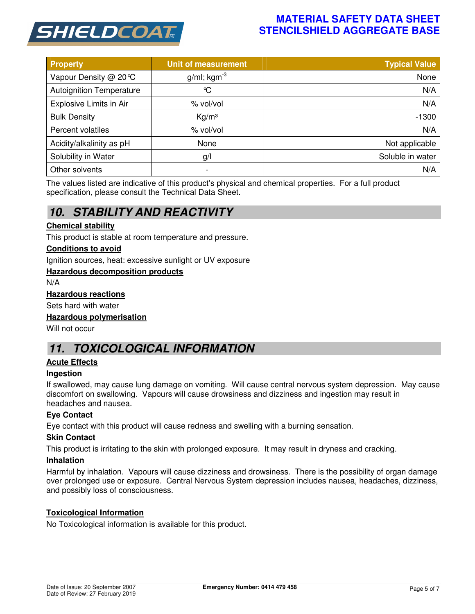

### **MATERIAL SAFETY DATA SHEET STENCILSHIELD AGGREGATE BASE**

| <b>Property</b>                 | <b>Unit of measurement</b> | <b>Typical Value</b> |
|---------------------------------|----------------------------|----------------------|
| Vapour Density @ 20℃            | $g/ml$ ; kgm <sup>-3</sup> | None                 |
| <b>Autoignition Temperature</b> | $\infty$                   | N/A                  |
| Explosive Limits in Air         | % vol/vol                  | N/A                  |
| <b>Bulk Density</b>             | Kg/m <sup>3</sup>          | $-1300$              |
| Percent volatiles               | % vol/vol                  | N/A                  |
| Acidity/alkalinity as pH        | None                       | Not applicable       |
| Solubility in Water             | g/                         | Soluble in water     |
| Other solvents                  |                            | N/A                  |

The values listed are indicative of this product's physical and chemical properties. For a full product specification, please consult the Technical Data Sheet.

# *10. STABILITY AND REACTIVITY*

#### **Chemical stability**

This product is stable at room temperature and pressure.

#### **Conditions to avoid**

Ignition sources, heat: excessive sunlight or UV exposure

#### **Hazardous decomposition products**

N/A

#### **Hazardous reactions**

Sets hard with water

#### **Hazardous polymerisation**

Will not occur

## *11. TOXICOLOGICAL INFORMATION*

#### **Acute Effects**

#### **Ingestion**

If swallowed, may cause lung damage on vomiting. Will cause central nervous system depression. May cause discomfort on swallowing. Vapours will cause drowsiness and dizziness and ingestion may result in headaches and nausea.

#### **Eye Contact**

Eye contact with this product will cause redness and swelling with a burning sensation.

#### **Skin Contact**

This product is irritating to the skin with prolonged exposure. It may result in dryness and cracking.

#### **Inhalation**

Harmful by inhalation. Vapours will cause dizziness and drowsiness. There is the possibility of organ damage over prolonged use or exposure. Central Nervous System depression includes nausea, headaches, dizziness, and possibly loss of consciousness.

#### **Toxicological Information**

No Toxicological information is available for this product.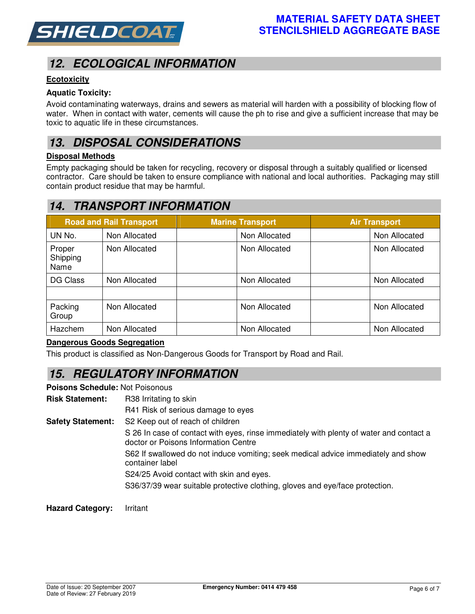

# *12. ECOLOGICAL INFORMATION*

### **Ecotoxicity**

#### **Aquatic Toxicity:**

Avoid contaminating waterways, drains and sewers as material will harden with a possibility of blocking flow of water. When in contact with water, cements will cause the ph to rise and give a sufficient increase that may be toxic to aquatic life in these circumstances.

### *13. DISPOSAL CONSIDERATIONS*

#### **Disposal Methods**

Empty packaging should be taken for recycling, recovery or disposal through a suitably qualified or licensed contractor. Care should be taken to ensure compliance with national and local authorities. Packaging may still contain product residue that may be harmful.

## *14. TRANSPORT INFORMATION*

|                            | <b>Road and Rail Transport</b> | <b>Marine Transport</b> | <b>Air Transport</b> |
|----------------------------|--------------------------------|-------------------------|----------------------|
| UN No.                     | Non Allocated                  | Non Allocated           | Non Allocated        |
| Proper<br>Shipping<br>Name | Non Allocated                  | Non Allocated           | Non Allocated        |
| DG Class                   | Non Allocated                  | Non Allocated           | Non Allocated        |
| Packing<br>Group           | Non Allocated                  | Non Allocated           | Non Allocated        |
| Hazchem                    | Non Allocated                  | Non Allocated           | Non Allocated        |

### **Dangerous Goods Segregation**

This product is classified as Non-Dangerous Goods for Transport by Road and Rail.

# *15. REGULATORY INFORMATION*

**Poisons Schedule:** Not Poisonous

**Risk Statement:** R38 Irritating to skin

R41 Risk of serious damage to eyes

**Safety Statement:** S2 Keep out of reach of children

S 26 In case of contact with eyes, rinse immediately with plenty of water and contact a doctor or Poisons Information Centre

S62 If swallowed do not induce vomiting; seek medical advice immediately and show container label

S24/25 Avoid contact with skin and eyes.

S36/37/39 wear suitable protective clothing, gloves and eye/face protection.

**Hazard Category:** Irritant